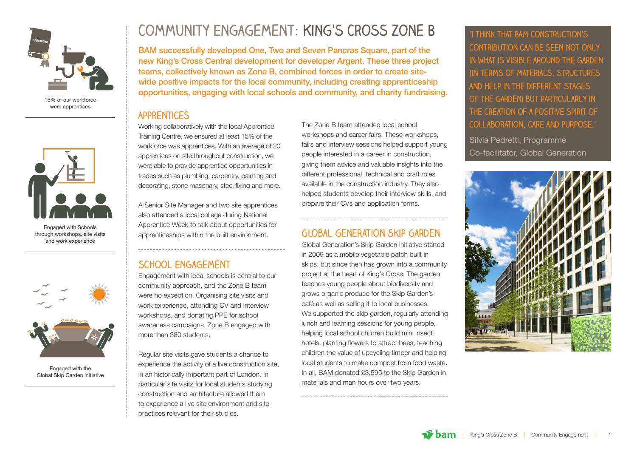

15% of our workforce were apprentices



Engaged with Schools through workshops, site visits and work experience



Engaged with the Global Skip Garden initiative

# **Community Engagement: King's Cross Zone B**

BAM successfully developed One, Two and Seven Pancras Square, part of the new King's Cross Central development for developer Argent. These three project teams, collectively known as Zone B, combined forces in order to create sitewide positive impacts for the local community, including creating apprenticeship opportunities, engaging with local schools and community, and charity fundraising.

#### **Apprentices**

Working collaboratively with the local Apprentice Training Centre, we ensured at least 15% of the workforce was apprentices. With an average of 20 apprentices on site throughout construction, we were able to provide apprentice opportunities in trades such as plumbing, carpentry, painting and decorating, stone masonary, steel fixing and more.

A Senior Site Manager and two site apprentices also attended a local college during National Apprentice Week to talk about opportunities for apprenticeships within the built environment.

#### **School Engagement**

Engagement with local schools is central to our community approach, and the Zone B team were no exception. Organising site visits and work experience, attending CV and interview workshops, and donating PPE for school awareness campaigns, Zone B engaged with more than 380 students.

Regular site visits gave students a chance to experience the activity of a live construction site, in an historically important part of London. In particular site visits for local students studying construction and architecture allowed them to experience a live site environment and site practices relevant for their studies.

The Zone B team attended local school workshops and career fairs. These workshops, fairs and interview sessions helped support young people interested in a career in construction, giving them advice and valuable insights into the different professional, technical and craft roles available in the construction industry. They also helped students develop their interview skills, and prepare their CVs and application forms.

#### **Global Generation Skip Garden**

Global Generation's Skip Garden initiative started in 2009 as a mobile vegetable patch built in skips, but since then has grown into a community project at the heart of King's Cross. The garden teaches young people about biodiversity and grows organic produce for the Skip Garden's café as well as selling it to local businesses. We supported the skip garden, regularly attending lunch and learning sessions for young people, helping local school children build mini insect hotels, planting flowers to attract bees, teaching children the value of upcycling timber and helping local students to make compost from food waste. In all, BAM donated £3,595 to the Skip Garden in materials and man hours over two years.

**'I think that BAM Construction's contribution can be seen not only in what is visible around the garden (in terms of materials, structures and help in the different stages of the garden) but particularly in the creation of a positive spirit of collaboration, care and purpose.'** 

Silvia Pedretti, Programme Co-facilitator, Global Generation